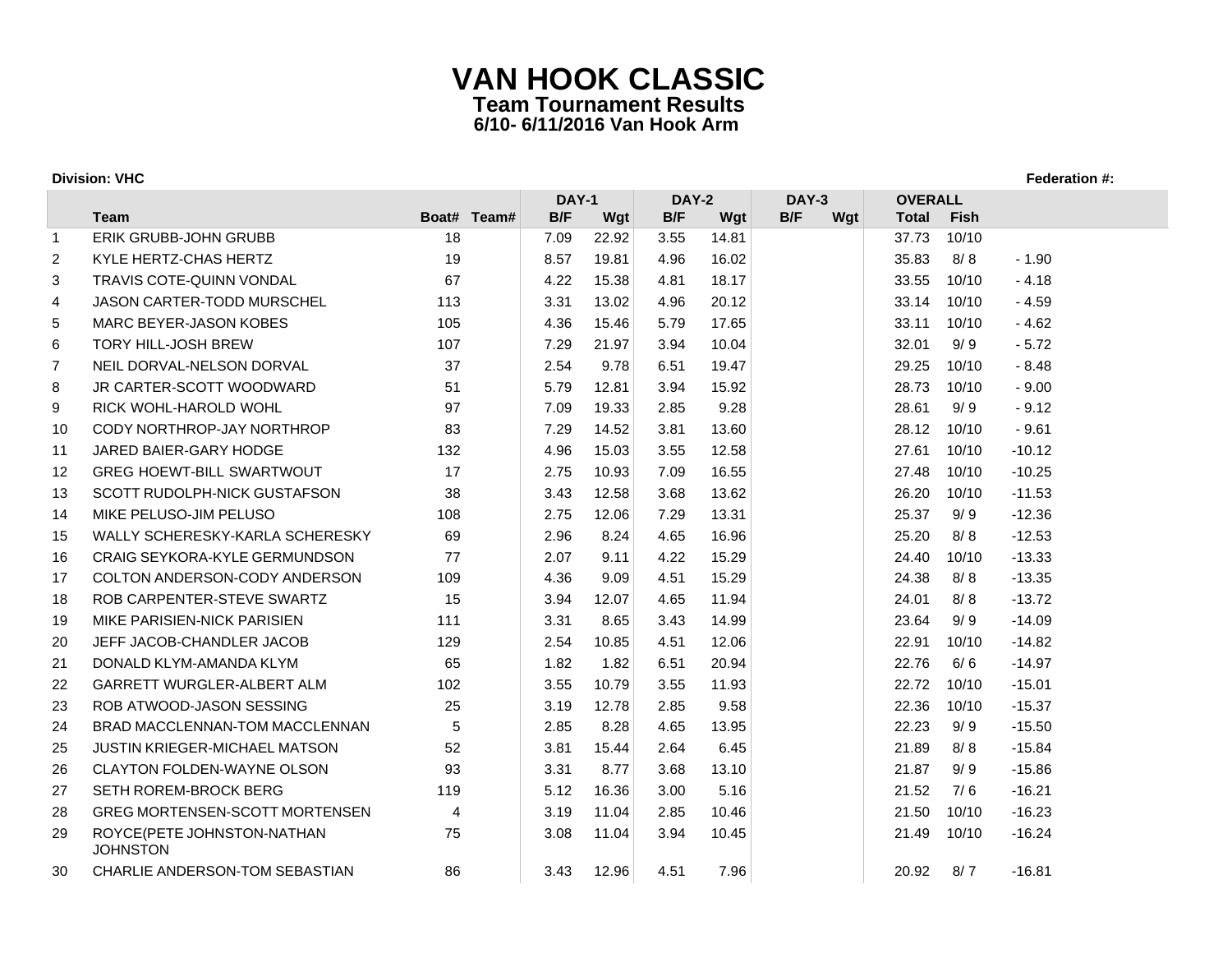|                   |                                               |             | <b>DAY-1</b> |       | DAY-2 |       | DAY-3      | <b>OVERALL</b> |             |          |
|-------------------|-----------------------------------------------|-------------|--------------|-------|-------|-------|------------|----------------|-------------|----------|
|                   | <b>Team</b>                                   | Boat# Team# | B/F          | Wgt   | B/F   | Wgt   | B/F<br>Wgt | <b>Total</b>   | <b>Fish</b> |          |
| $\overline{1}$    | ERIK GRUBB-JOHN GRUBB                         | 18          | 7.09         | 22.92 | 3.55  | 14.81 |            | 37.73          | 10/10       |          |
| 2                 | KYLE HERTZ-CHAS HERTZ                         | 19          | 8.57         | 19.81 | 4.96  | 16.02 |            | 35.83          | 8/8         | $-1.90$  |
| 3                 | TRAVIS COTE-QUINN VONDAL                      | 67          | 4.22         | 15.38 | 4.81  | 18.17 |            | 33.55          | 10/10       | $-4.18$  |
| 4                 | <b>JASON CARTER-TODD MURSCHEL</b>             | 113         | 3.31         | 13.02 | 4.96  | 20.12 |            | 33.14          | 10/10       | $-4.59$  |
| 5                 | MARC BEYER-JASON KOBES                        | 105         | 4.36         | 15.46 | 5.79  | 17.65 |            | 33.11          | 10/10       | $-4.62$  |
| 6                 | <b>TORY HILL-JOSH BREW</b>                    | 107         | 7.29         | 21.97 | 3.94  | 10.04 |            | 32.01          | 9/9         | $-5.72$  |
| $\overline{7}$    | NEIL DORVAL-NELSON DORVAL                     | 37          | 2.54         | 9.78  | 6.51  | 19.47 |            | 29.25          | 10/10       | $-8.48$  |
| 8                 | JR CARTER-SCOTT WOODWARD                      | 51          | 5.79         | 12.81 | 3.94  | 15.92 |            | 28.73          | 10/10       | $-9.00$  |
| 9                 | RICK WOHL-HAROLD WOHL                         | 97          | 7.09         | 19.33 | 2.85  | 9.28  |            | 28.61          | 9/9         | $-9.12$  |
| 10                | CODY NORTHROP-JAY NORTHROP                    | 83          | 7.29         | 14.52 | 3.81  | 13.60 |            | 28.12          | 10/10       | $-9.61$  |
| 11                | JARED BAIER-GARY HODGE                        | 132         | 4.96         | 15.03 | 3.55  | 12.58 |            | 27.61          | 10/10       | $-10.12$ |
| $12 \overline{ }$ | <b>GREG HOEWT-BILL SWARTWOUT</b>              | 17          | 2.75         | 10.93 | 7.09  | 16.55 |            | 27.48          | 10/10       | $-10.25$ |
| 13                | <b>SCOTT RUDOLPH-NICK GUSTAFSON</b>           | 38          | 3.43         | 12.58 | 3.68  | 13.62 |            | 26.20          | 10/10       | $-11.53$ |
| 14                | MIKE PELUSO-JIM PELUSO                        | 108         | 2.75         | 12.06 | 7.29  | 13.31 |            | 25.37          | 9/9         | $-12.36$ |
| 15                | WALLY SCHERESKY-KARLA SCHERESKY               | 69          | 2.96         | 8.24  | 4.65  | 16.96 |            | 25.20          | 8/8         | $-12.53$ |
| 16                | <b>CRAIG SEYKORA-KYLE GERMUNDSON</b>          | 77          | 2.07         | 9.11  | 4.22  | 15.29 |            | 24.40          | 10/10       | $-13.33$ |
| 17                | COLTON ANDERSON-CODY ANDERSON                 | 109         | 4.36         | 9.09  | 4.51  | 15.29 |            | 24.38          | 8/8         | $-13.35$ |
| 18                | ROB CARPENTER-STEVE SWARTZ                    | 15          | 3.94         | 12.07 | 4.65  | 11.94 |            | 24.01          | 8/8         | $-13.72$ |
| 19                | MIKE PARISIEN-NICK PARISIEN                   | 111         | 3.31         | 8.65  | 3.43  | 14.99 |            | 23.64          | 9/9         | $-14.09$ |
| 20                | JEFF JACOB-CHANDLER JACOB                     | 129         | 2.54         | 10.85 | 4.51  | 12.06 |            | 22.91          | 10/10       | $-14.82$ |
| 21                | DONALD KLYM-AMANDA KLYM                       | 65          | 1.82         | 1.82  | 6.51  | 20.94 |            | 22.76          | 6/6         | $-14.97$ |
| 22                | <b>GARRETT WURGLER-ALBERT ALM</b>             | 102         | 3.55         | 10.79 | 3.55  | 11.93 |            | 22.72          | 10/10       | $-15.01$ |
| 23                | ROB ATWOOD-JASON SESSING                      | 25          | 3.19         | 12.78 | 2.85  | 9.58  |            | 22.36          | 10/10       | $-15.37$ |
| 24                | BRAD MACCLENNAN-TOM MACCLENNAN                | 5           | 2.85         | 8.28  | 4.65  | 13.95 |            | 22.23          | 9/9         | $-15.50$ |
| 25                | <b>JUSTIN KRIEGER-MICHAEL MATSON</b>          | 52          | 3.81         | 15.44 | 2.64  | 6.45  |            | 21.89          | 8/8         | $-15.84$ |
| 26                | <b>CLAYTON FOLDEN-WAYNE OLSON</b>             | 93          | 3.31         | 8.77  | 3.68  | 13.10 |            | 21.87          | 9/9         | $-15.86$ |
| 27                | SETH ROREM-BROCK BERG                         | 119         | 5.12         | 16.36 | 3.00  | 5.16  |            | 21.52          | 7/6         | $-16.21$ |
| 28                | <b>GREG MORTENSEN-SCOTT MORTENSEN</b>         | 4           | 3.19         | 11.04 | 2.85  | 10.46 |            | 21.50          | 10/10       | $-16.23$ |
| 29                | ROYCE(PETE JOHNSTON-NATHAN<br><b>JOHNSTON</b> | 75          | 3.08         | 11.04 | 3.94  | 10.45 |            | 21.49          | 10/10       | $-16.24$ |
| 30                | CHARLIE ANDERSON-TOM SEBASTIAN                | 86          | 3.43         | 12.96 | 4.51  | 7.96  |            | 20.92          | 8/7         | $-16.81$ |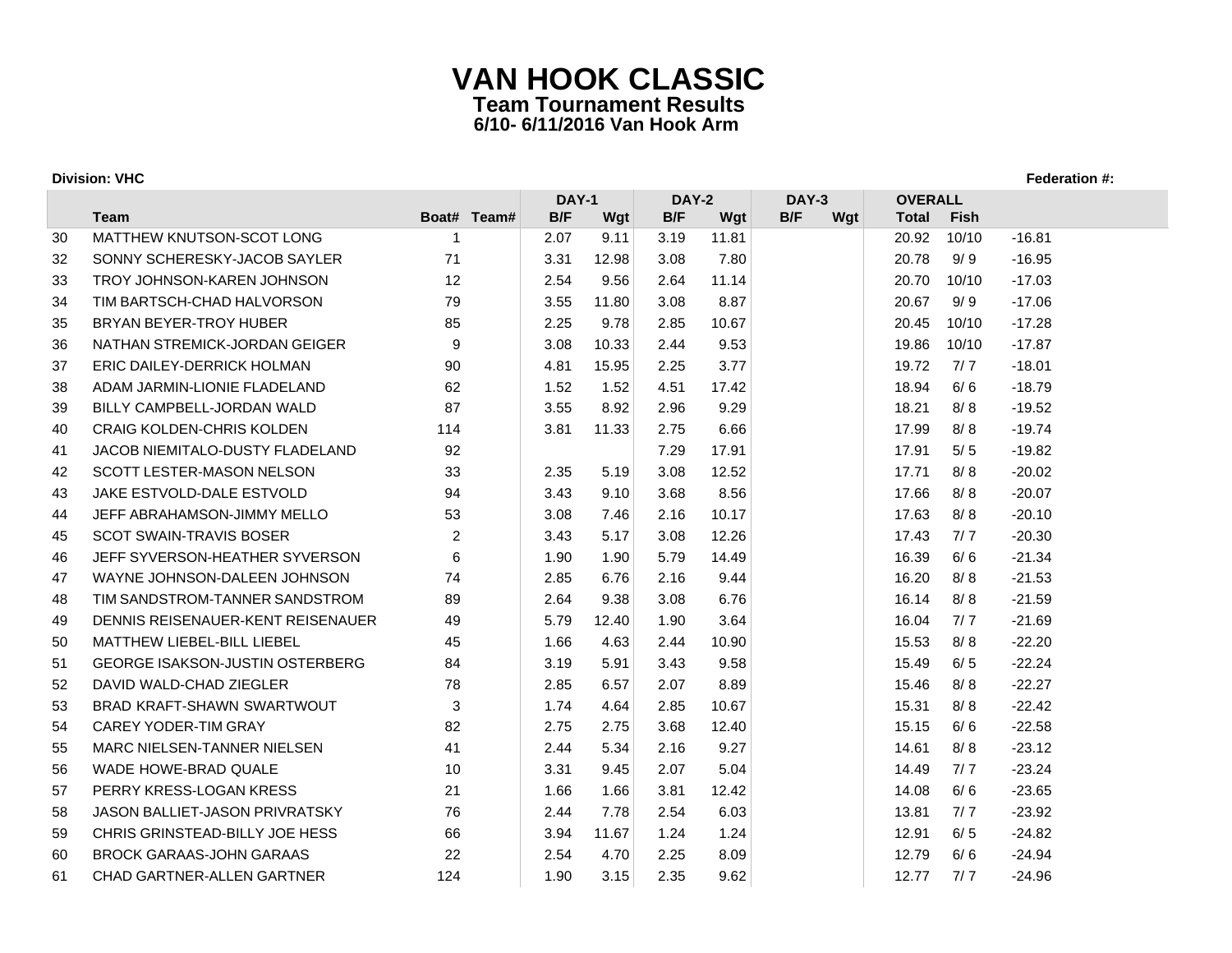|    |                                        |                | <b>DAY-1</b> |       | DAY-2 |       | DAY-3      | <b>OVERALL</b> |             |          |
|----|----------------------------------------|----------------|--------------|-------|-------|-------|------------|----------------|-------------|----------|
|    | <b>Team</b>                            | Boat# Team#    | B/F          | Wgt   | B/F   | Wgt   | B/F<br>Wgt | <b>Total</b>   | <b>Fish</b> |          |
| 30 | MATTHEW KNUTSON-SCOT LONG              | -1             | 2.07         | 9.11  | 3.19  | 11.81 |            | 20.92          | 10/10       | $-16.81$ |
| 32 | SONNY SCHERESKY-JACOB SAYLER           | 71             | 3.31         | 12.98 | 3.08  | 7.80  |            | 20.78          | 9/9         | $-16.95$ |
| 33 | TROY JOHNSON-KAREN JOHNSON             | 12             | 2.54         | 9.56  | 2.64  | 11.14 |            | 20.70          | 10/10       | $-17.03$ |
| 34 | TIM BARTSCH-CHAD HALVORSON             | 79             | 3.55         | 11.80 | 3.08  | 8.87  |            | 20.67          | 9/9         | $-17.06$ |
| 35 | BRYAN BEYER-TROY HUBER                 | 85             | 2.25         | 9.78  | 2.85  | 10.67 |            | 20.45          | 10/10       | $-17.28$ |
| 36 | NATHAN STREMICK-JORDAN GEIGER          | 9              | 3.08         | 10.33 | 2.44  | 9.53  |            | 19.86          | 10/10       | $-17.87$ |
| 37 | ERIC DAILEY-DERRICK HOLMAN             | 90             | 4.81         | 15.95 | 2.25  | 3.77  |            | 19.72          | 7/7         | $-18.01$ |
| 38 | ADAM JARMIN-LIONIE FLADELAND           | 62             | 1.52         | 1.52  | 4.51  | 17.42 |            | 18.94          | 6/6         | $-18.79$ |
| 39 | BILLY CAMPBELL-JORDAN WALD             | 87             | 3.55         | 8.92  | 2.96  | 9.29  |            | 18.21          | 8/8         | $-19.52$ |
| 40 | <b>CRAIG KOLDEN-CHRIS KOLDEN</b>       | 114            | 3.81         | 11.33 | 2.75  | 6.66  |            | 17.99          | 8/8         | $-19.74$ |
| 41 | <b>JACOB NIEMITALO-DUSTY FLADELAND</b> | 92             |              |       | 7.29  | 17.91 |            | 17.91          | 5/5         | $-19.82$ |
| 42 | SCOTT LESTER-MASON NELSON              | 33             | 2.35         | 5.19  | 3.08  | 12.52 |            | 17.71          | 8/8         | $-20.02$ |
| 43 | <b>JAKE ESTVOLD-DALE ESTVOLD</b>       | 94             | 3.43         | 9.10  | 3.68  | 8.56  |            | 17.66          | 8/8         | $-20.07$ |
| 44 | JEFF ABRAHAMSON-JIMMY MELLO            | 53             | 3.08         | 7.46  | 2.16  | 10.17 |            | 17.63          | 8/8         | $-20.10$ |
| 45 | <b>SCOT SWAIN-TRAVIS BOSER</b>         | $\overline{2}$ | 3.43         | 5.17  | 3.08  | 12.26 |            | 17.43          | 7/7         | $-20.30$ |
| 46 | JEFF SYVERSON-HEATHER SYVERSON         | 6              | 1.90         | 1.90  | 5.79  | 14.49 |            | 16.39          | 6/6         | $-21.34$ |
| 47 | WAYNE JOHNSON-DALEEN JOHNSON           | 74             | 2.85         | 6.76  | 2.16  | 9.44  |            | 16.20          | 8/8         | $-21.53$ |
| 48 | TIM SANDSTROM-TANNER SANDSTROM         | 89             | 2.64         | 9.38  | 3.08  | 6.76  |            | 16.14          | 8/8         | $-21.59$ |
| 49 | DENNIS REISENAUER-KENT REISENAUER      | 49             | 5.79         | 12.40 | 1.90  | 3.64  |            | 16.04          | 7/7         | $-21.69$ |
| 50 | <b>MATTHEW LIEBEL-BILL LIEBEL</b>      | 45             | 1.66         | 4.63  | 2.44  | 10.90 |            | 15.53          | 8/8         | $-22.20$ |
| 51 | GEORGE ISAKSON-JUSTIN OSTERBERG        | 84             | 3.19         | 5.91  | 3.43  | 9.58  |            | 15.49          | 6/5         | $-22.24$ |
| 52 | DAVID WALD-CHAD ZIEGLER                | 78             | 2.85         | 6.57  | 2.07  | 8.89  |            | 15.46          | 8/8         | $-22.27$ |
| 53 | <b>BRAD KRAFT-SHAWN SWARTWOUT</b>      | 3              | 1.74         | 4.64  | 2.85  | 10.67 |            | 15.31          | 8/8         | $-22.42$ |
| 54 | CAREY YODER-TIM GRAY                   | 82             | 2.75         | 2.75  | 3.68  | 12.40 |            | 15.15          | 6/6         | $-22.58$ |
| 55 | <b>MARC NIELSEN-TANNER NIELSEN</b>     | 41             | 2.44         | 5.34  | 2.16  | 9.27  |            | 14.61          | 8/8         | $-23.12$ |
| 56 | WADE HOWE-BRAD QUALE                   | 10             | 3.31         | 9.45  | 2.07  | 5.04  |            | 14.49          | 7/7         | $-23.24$ |
| 57 | PERRY KRESS-LOGAN KRESS                | 21             | 1.66         | 1.66  | 3.81  | 12.42 |            | 14.08          | 6/6         | $-23.65$ |
| 58 | JASON BALLIET-JASON PRIVRATSKY         | 76             | 2.44         | 7.78  | 2.54  | 6.03  |            | 13.81          | 7/7         | $-23.92$ |
| 59 | CHRIS GRINSTEAD-BILLY JOE HESS         | 66             | 3.94         | 11.67 | 1.24  | 1.24  |            | 12.91          | 6/5         | $-24.82$ |
| 60 | <b>BROCK GARAAS-JOHN GARAAS</b>        | 22             | 2.54         | 4.70  | 2.25  | 8.09  |            | 12.79          | 6/6         | $-24.94$ |
| 61 | CHAD GARTNER-ALLEN GARTNER             | 124            | 1.90         | 3.15  | 2.35  | 9.62  |            | 12.77          | 7/7         | $-24.96$ |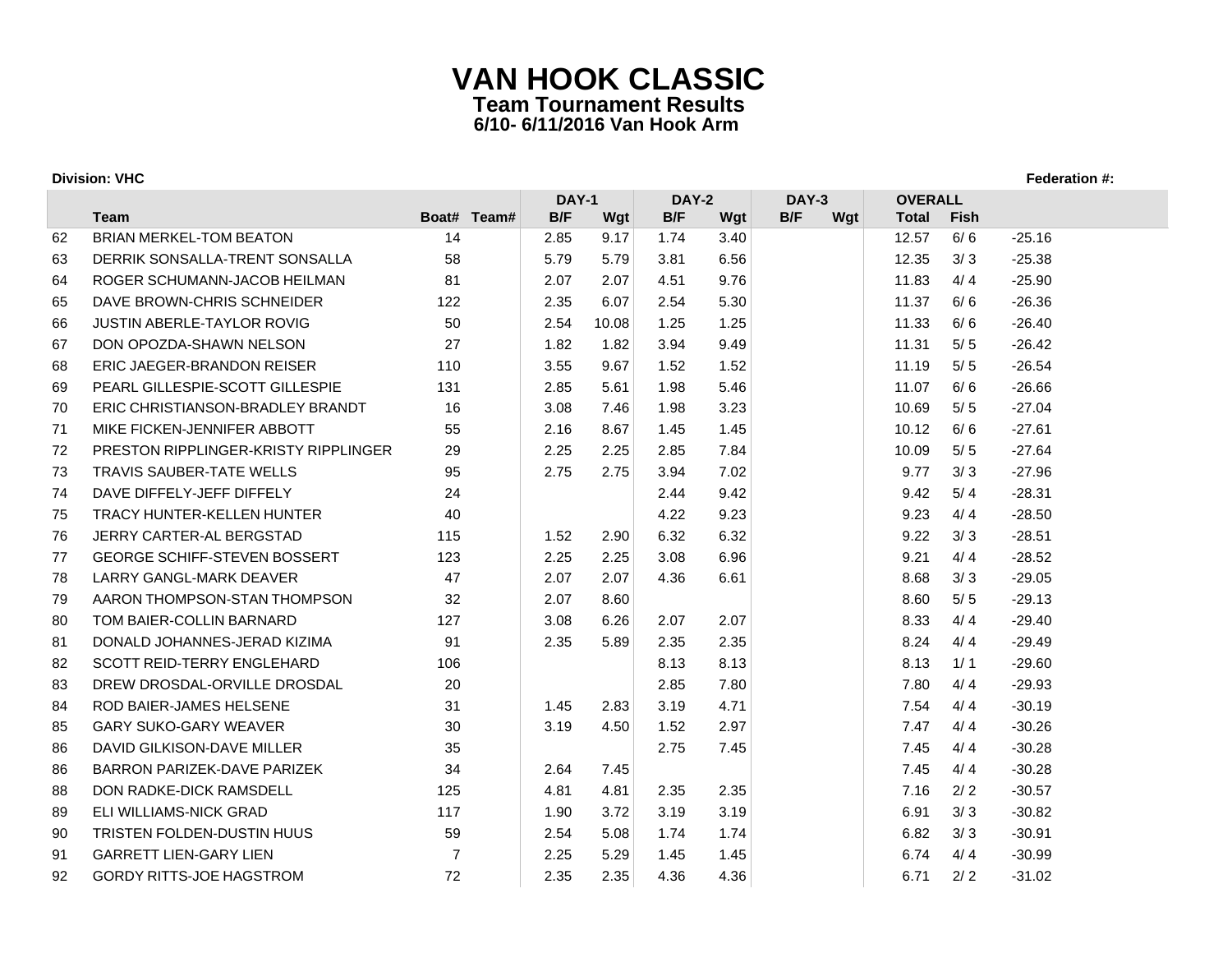|    |                                             |             | <b>DAY-1</b> |       | DAY-2 |      | <b>DAY-3</b> | <b>OVERALL</b> |             |          |
|----|---------------------------------------------|-------------|--------------|-------|-------|------|--------------|----------------|-------------|----------|
|    | <b>Team</b>                                 | Boat# Team# | B/F          | Wgt   | B/F   | Wgt  | B/F<br>Wgt   | <b>Total</b>   | <b>Fish</b> |          |
| 62 | <b>BRIAN MERKEL-TOM BEATON</b>              | 14          | 2.85         | 9.17  | 1.74  | 3.40 |              | 12.57          | 6/6         | $-25.16$ |
| 63 | DERRIK SONSALLA-TRENT SONSALLA              | 58          | 5.79         | 5.79  | 3.81  | 6.56 |              | 12.35          | 3/3         | $-25.38$ |
| 64 | ROGER SCHUMANN-JACOB HEILMAN                | 81          | 2.07         | 2.07  | 4.51  | 9.76 |              | 11.83          | 4/4         | $-25.90$ |
| 65 | DAVE BROWN-CHRIS SCHNEIDER                  | 122         | 2.35         | 6.07  | 2.54  | 5.30 |              | 11.37          | 6/6         | $-26.36$ |
| 66 | JUSTIN ABERLE-TAYLOR ROVIG                  | 50          | 2.54         | 10.08 | 1.25  | 1.25 |              | 11.33          | 6/6         | $-26.40$ |
| 67 | DON OPOZDA-SHAWN NELSON                     | 27          | 1.82         | 1.82  | 3.94  | 9.49 |              | 11.31          | 5/5         | $-26.42$ |
| 68 | ERIC JAEGER-BRANDON REISER                  | 110         | 3.55         | 9.67  | 1.52  | 1.52 |              | 11.19          | 5/5         | $-26.54$ |
| 69 | PEARL GILLESPIE-SCOTT GILLESPIE             | 131         | 2.85         | 5.61  | 1.98  | 5.46 |              | 11.07          | 6/6         | $-26.66$ |
| 70 | ERIC CHRISTIANSON-BRADLEY BRANDT            | 16          | 3.08         | 7.46  | 1.98  | 3.23 |              | 10.69          | 5/5         | $-27.04$ |
| 71 | MIKE FICKEN-JENNIFER ABBOTT                 | 55          | 2.16         | 8.67  | 1.45  | 1.45 |              | 10.12          | 6/6         | $-27.61$ |
| 72 | <b>PRESTON RIPPLINGER-KRISTY RIPPLINGER</b> | 29          | 2.25         | 2.25  | 2.85  | 7.84 |              | 10.09          | 5/5         | $-27.64$ |
| 73 | TRAVIS SAUBER-TATE WELLS                    | 95          | 2.75         | 2.75  | 3.94  | 7.02 |              | 9.77           | 3/3         | $-27.96$ |
| 74 | DAVE DIFFELY-JEFF DIFFELY                   | 24          |              |       | 2.44  | 9.42 |              | 9.42           | 5/4         | $-28.31$ |
| 75 | TRACY HUNTER-KELLEN HUNTER                  | 40          |              |       | 4.22  | 9.23 |              | 9.23           | 4/4         | $-28.50$ |
| 76 | JERRY CARTER-AL BERGSTAD                    | 115         | 1.52         | 2.90  | 6.32  | 6.32 |              | 9.22           | 3/3         | $-28.51$ |
| 77 | <b>GEORGE SCHIFF-STEVEN BOSSERT</b>         | 123         | 2.25         | 2.25  | 3.08  | 6.96 |              | 9.21           | 4/4         | $-28.52$ |
| 78 | LARRY GANGL-MARK DEAVER                     | 47          | 2.07         | 2.07  | 4.36  | 6.61 |              | 8.68           | 3/3         | $-29.05$ |
| 79 | AARON THOMPSON-STAN THOMPSON                | 32          | 2.07         | 8.60  |       |      |              | 8.60           | 5/5         | $-29.13$ |
| 80 | TOM BAIER-COLLIN BARNARD                    | 127         | 3.08         | 6.26  | 2.07  | 2.07 |              | 8.33           | 4/4         | $-29.40$ |
| 81 | DONALD JOHANNES-JERAD KIZIMA                | 91          | 2.35         | 5.89  | 2.35  | 2.35 |              | 8.24           | 4/4         | $-29.49$ |
| 82 | SCOTT REID-TERRY ENGLEHARD                  | 106         |              |       | 8.13  | 8.13 |              | 8.13           | 1/1         | $-29.60$ |
| 83 | DREW DROSDAL-ORVILLE DROSDAL                | 20          |              |       | 2.85  | 7.80 |              | 7.80           | 4/4         | $-29.93$ |
| 84 | ROD BAIER-JAMES HELSENE                     | 31          | 1.45         | 2.83  | 3.19  | 4.71 |              | 7.54           | 4/4         | $-30.19$ |
| 85 | <b>GARY SUKO-GARY WEAVER</b>                | 30          | 3.19         | 4.50  | 1.52  | 2.97 |              | 7.47           | 4/4         | $-30.26$ |
| 86 | DAVID GILKISON-DAVE MILLER                  | 35          |              |       | 2.75  | 7.45 |              | 7.45           | 4/4         | $-30.28$ |
| 86 | BARRON PARIZEK-DAVE PARIZEK                 | 34          | 2.64         | 7.45  |       |      |              | 7.45           | 4/4         | $-30.28$ |
| 88 | DON RADKE-DICK RAMSDELL                     | 125         | 4.81         | 4.81  | 2.35  | 2.35 |              | 7.16           | 2/2         | $-30.57$ |
| 89 | ELI WILLIAMS-NICK GRAD                      | 117         | 1.90         | 3.72  | 3.19  | 3.19 |              | 6.91           | 3/3         | $-30.82$ |
| 90 | TRISTEN FOLDEN-DUSTIN HUUS                  | 59          | 2.54         | 5.08  | 1.74  | 1.74 |              | 6.82           | 3/3         | $-30.91$ |
| 91 | <b>GARRETT LIEN-GARY LIEN</b>               | 7           | 2.25         | 5.29  | 1.45  | 1.45 |              | 6.74           | 4/4         | $-30.99$ |
| 92 | <b>GORDY RITTS-JOE HAGSTROM</b>             | 72          | 2.35         | 2.35  | 4.36  | 4.36 |              | 6.71           | 2/2         | $-31.02$ |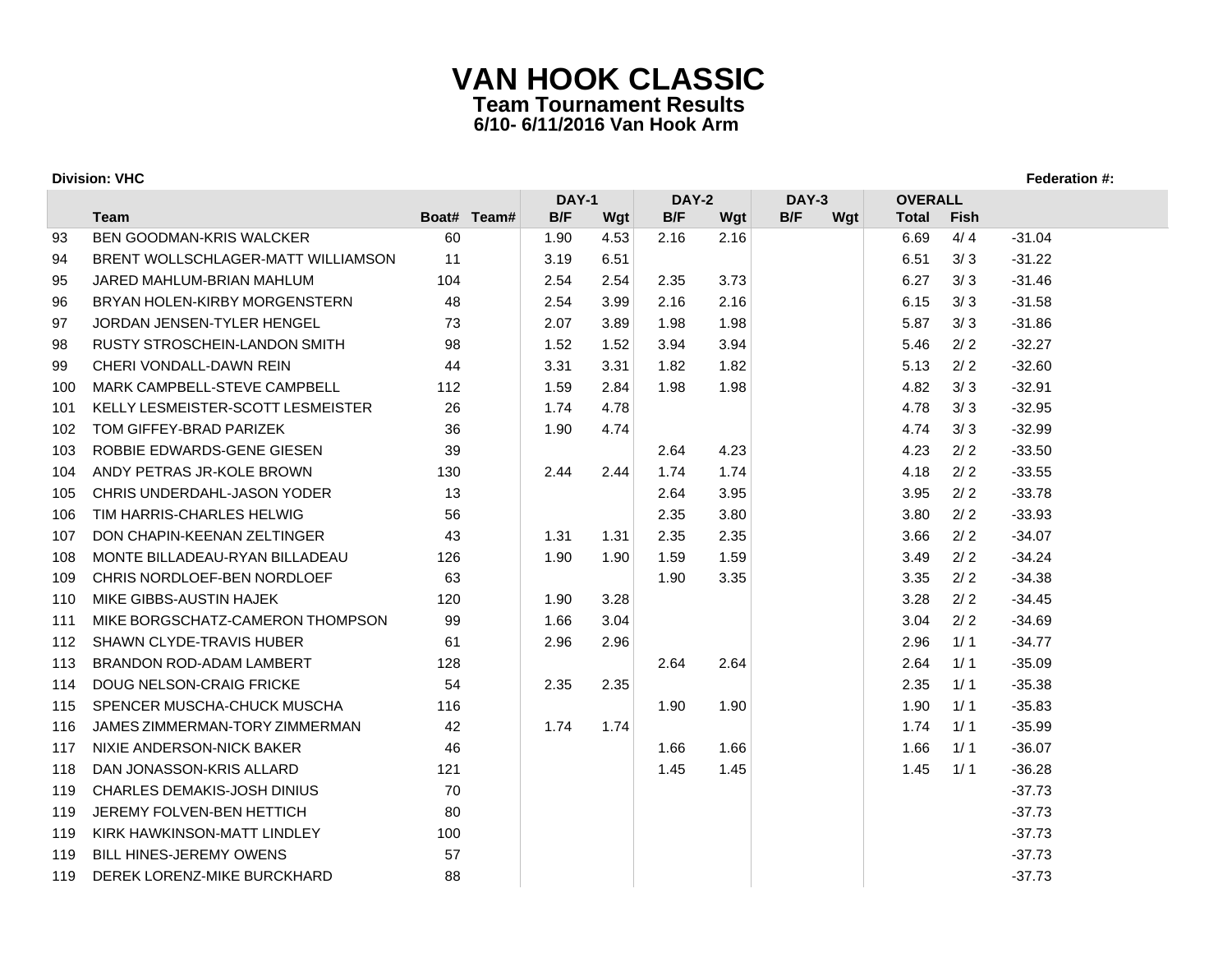|     |                                      |             | <b>DAY-1</b> |      | <b>DAY-2</b> |      | <b>DAY-3</b> | <b>OVERALL</b> |      |          |
|-----|--------------------------------------|-------------|--------------|------|--------------|------|--------------|----------------|------|----------|
|     | <b>Team</b>                          | Boat# Team# | B/F          | Wgt  | B/F          | Wgt  | B/F<br>Wgt   | <b>Total</b>   | Fish |          |
| 93  | <b>BEN GOODMAN-KRIS WALCKER</b>      | 60          | 1.90         | 4.53 | 2.16         | 2.16 |              | 6.69           | 4/4  | $-31.04$ |
| 94  | BRENT WOLLSCHLAGER-MATT WILLIAMSON   | 11          | 3.19         | 6.51 |              |      |              | 6.51           | 3/3  | $-31.22$ |
| 95  | JARED MAHLUM-BRIAN MAHLUM            | 104         | 2.54         | 2.54 | 2.35         | 3.73 |              | 6.27           | 3/3  | $-31.46$ |
| 96  | BRYAN HOLEN-KIRBY MORGENSTERN        | 48          | 2.54         | 3.99 | 2.16         | 2.16 |              | 6.15           | 3/3  | $-31.58$ |
| 97  | JORDAN JENSEN-TYLER HENGEL           | 73          | 2.07         | 3.89 | 1.98         | 1.98 |              | 5.87           | 3/3  | $-31.86$ |
| 98  | <b>RUSTY STROSCHEIN-LANDON SMITH</b> | 98          | 1.52         | 1.52 | 3.94         | 3.94 |              | 5.46           | 2/2  | $-32.27$ |
| 99  | CHERI VONDALL-DAWN REIN              | 44          | 3.31         | 3.31 | 1.82         | 1.82 |              | 5.13           | 2/2  | $-32.60$ |
| 100 | MARK CAMPBELL-STEVE CAMPBELL         | 112         | 1.59         | 2.84 | 1.98         | 1.98 |              | 4.82           | 3/3  | $-32.91$ |
| 101 | KELLY LESMEISTER-SCOTT LESMEISTER    | 26          | 1.74         | 4.78 |              |      |              | 4.78           | 3/3  | $-32.95$ |
| 102 | TOM GIFFEY-BRAD PARIZEK              | 36          | 1.90         | 4.74 |              |      |              | 4.74           | 3/3  | $-32.99$ |
| 103 | ROBBIE EDWARDS-GENE GIESEN           | 39          |              |      | 2.64         | 4.23 |              | 4.23           | 2/2  | $-33.50$ |
| 104 | ANDY PETRAS JR-KOLE BROWN            | 130         | 2.44         | 2.44 | 1.74         | 1.74 |              | 4.18           | 2/2  | $-33.55$ |
| 105 | CHRIS UNDERDAHL-JASON YODER          | 13          |              |      | 2.64         | 3.95 |              | 3.95           | 2/2  | $-33.78$ |
| 106 | TIM HARRIS-CHARLES HELWIG            | 56          |              |      | 2.35         | 3.80 |              | 3.80           | 2/2  | $-33.93$ |
| 107 | DON CHAPIN-KEENAN ZELTINGER          | 43          | 1.31         | 1.31 | 2.35         | 2.35 |              | 3.66           | 2/2  | $-34.07$ |
| 108 | MONTE BILLADEAU-RYAN BILLADEAU       | 126         | 1.90         | 1.90 | 1.59         | 1.59 |              | 3.49           | 2/2  | $-34.24$ |
| 109 | CHRIS NORDLOEF-BEN NORDLOEF          | 63          |              |      | 1.90         | 3.35 |              | 3.35           | 2/2  | $-34.38$ |
| 110 | MIKE GIBBS-AUSTIN HAJEK              | 120         | 1.90         | 3.28 |              |      |              | 3.28           | 2/2  | $-34.45$ |
| 111 | MIKE BORGSCHATZ-CAMERON THOMPSON     | 99          | 1.66         | 3.04 |              |      |              | 3.04           | 2/2  | $-34.69$ |
| 112 | <b>SHAWN CLYDE-TRAVIS HUBER</b>      | 61          | 2.96         | 2.96 |              |      |              | 2.96           | 1/1  | $-34.77$ |
| 113 | BRANDON ROD-ADAM LAMBERT             | 128         |              |      | 2.64         | 2.64 |              | 2.64           | 1/1  | $-35.09$ |
| 114 | <b>DOUG NELSON-CRAIG FRICKE</b>      | 54          | 2.35         | 2.35 |              |      |              | 2.35           | 1/1  | $-35.38$ |
| 115 | SPENCER MUSCHA-CHUCK MUSCHA          | 116         |              |      | 1.90         | 1.90 |              | 1.90           | 1/1  | $-35.83$ |
| 116 | JAMES ZIMMERMAN-TORY ZIMMERMAN       | 42          | 1.74         | 1.74 |              |      |              | 1.74           | 1/1  | $-35.99$ |
| 117 | NIXIE ANDERSON-NICK BAKER            | 46          |              |      | 1.66         | 1.66 |              | 1.66           | 1/1  | $-36.07$ |
| 118 | DAN JONASSON-KRIS ALLARD             | 121         |              |      | 1.45         | 1.45 |              | 1.45           | 1/1  | $-36.28$ |
| 119 | <b>CHARLES DEMAKIS-JOSH DINIUS</b>   | 70          |              |      |              |      |              |                |      | $-37.73$ |
| 119 | <b>JEREMY FOLVEN-BEN HETTICH</b>     | 80          |              |      |              |      |              |                |      | $-37.73$ |
| 119 | KIRK HAWKINSON-MATT LINDLEY          | 100         |              |      |              |      |              |                |      | $-37.73$ |
| 119 | <b>BILL HINES-JEREMY OWENS</b>       | 57          |              |      |              |      |              |                |      | $-37.73$ |
| 119 | DEREK LORENZ-MIKE BURCKHARD          | 88          |              |      |              |      |              |                |      | $-37.73$ |